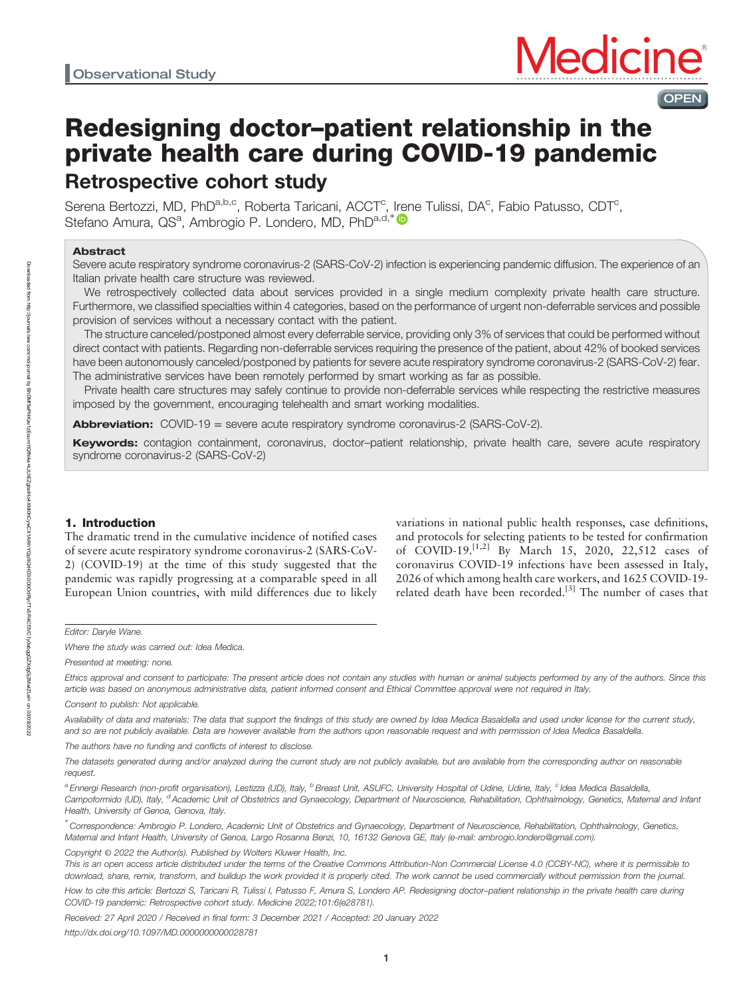# Redesigning doctor–patient relationship in the private health care during COVID-19 pandemic Retrospective cohort study

Serena Bertozzi, MD, PhD<sup>a,b,c</sup>, Roberta Taricani, ACCT<sup>c</sup>, [Ire](https://orcid.org/0000-0001-6429-1220)ne Tulissi, DA<sup>c</sup>, Fabio Patusso, CDT<sup>c</sup>, Stefano Amura, QS<sup>a</sup>, Ambrogio P. Londero, MD, PhD<sup>a,d,\*</sup>

# Abstract

Severe acute respiratory syndrome coronavirus-2 (SARS-CoV-2) infection is experiencing pandemic diffusion. The experience of an Italian private health care structure was reviewed.

We retrospectively collected data about services provided in a single medium complexity private health care structure. Furthermore, we classified specialties within 4 categories, based on the performance of urgent non-deferrable services and possible provision of services without a necessary contact with the patient.

The structure canceled/postponed almost every deferrable service, providing only 3% of services that could be performed without direct contact with patients. Regarding non-deferrable services requiring the presence of the patient, about 42% of booked services have been autonomously canceled/postponed by patients for severe acute respiratory syndrome coronavirus-2 (SARS-CoV-2) fear. The administrative services have been remotely performed by smart working as far as possible.

Private health care structures may safely continue to provide non-deferrable services while respecting the restrictive measures imposed by the government, encouraging telehealth and smart working modalities.

**Abbreviation:**  $COVID-19$  = severe acute respiratory syndrome coronavirus-2 (SARS-CoV-2).

Keywords: contagion containment, coronavirus, doctor-patient relationship, private health care, severe acute respiratory syndrome coronavirus-2 (SARS-CoV-2)

# 1. Introduction

The dramatic trend in the cumulative incidence of notified cases of severe acute respiratory syndrome coronavirus-2 (SARS-CoV-2) (COVID-19) at the time of this study suggested that the pandemic was rapidly progressing at a comparable speed in all European Union countries, with mild differences due to likely

variations in national public health responses, case definitions, and protocols for selecting patients to be tested for confirmation of COVID-19.<sup>[1,2]</sup> By March 15, 2020, 22,512 cases of coronavirus COVID-19 infections have been assessed in Italy, 2026 of which among health care workers, and 1625 COVID-19 related death have been recorded.<sup>[3]</sup> The number of cases that

OPEN

Editor: Daryle Wane.

Where the study was carried out: Idea Medica.

Presented at meeting: none.

Ethics approval and consent to participate: The present article does not contain any studies with human or animal subjects performed by any of the authors. Since this article was based on anonymous administrative data, patient informed consent and Ethical Committee approval were not required in Italy.

Availability of data and materials: The data that support the findings of this study are owned by Idea Medica Basaldella and used under license for the current study, and so are not publicly available. Data are however available from the authors upon reasonable request and with permission of Idea Medica Basaldella.

The authors have no funding and conflicts of interest to disclose.

The datasets generated during and/or analyzed during the current study are not publicly available, but are available from the corresponding author on reasonable request.

a Ennergi Research (non-profit organisation), Lestizza (UD), Italy, <sup>b</sup> Breast Unit, ASUFC, University Hospital of Udine, Udine, Italy, <sup>c</sup> Idea Medica Basaldella, Campoformido (UD), Italy, <sup>d</sup>Academic Unit of Obstetrics and Gynaecology, Department of Neuroscience, Rehabilitation, Ophthalmology, Genetics, Maternal and Infant Health, University of Genoa, Genova, Italy.

∗ Correspondence: Ambrogio P. Londero, Academic Unit of Obstetrics and Gynaecology, Department of Neuroscience, Rehabilitation, Ophthalmology, Genetics, Maternal and Infant Health, University of Genoa, Largo Rosanna Benzi, 10, 16132 Genova GE, Italy (e-mail: [ambrogio.londero@gmail.com\)](mailto:ambrogio.londero@gmail.com).

Copyright © 2022 the Author(s). Published by Wolters Kluwer Health, Inc. This is an open access article distributed under the terms of the Creative Commons Attribution-Non Commercial License 4.0 (CCBY-NC), where it is permissible to

download, share, remix, transform, and buildup the work provided it is properly cited. The work cannot be used commercially without permission from the journal. How to cite this article: Bertozzi S, Taricani R, Tulissi I, Patusso F, Amura S, Londero AP. Redesigning doctor-patient relationship in the private health care during

COVID-19 pandemic: Retrospective cohort study. Medicine 2022;101:6(e28781).

Received: 27 April 2020 / Received in final form: 3 December 2021 / Accepted: 20 January 2022

<http://dx.doi.org/10.1097/MD.0000000000028781>

Consent to publish: Not applicable.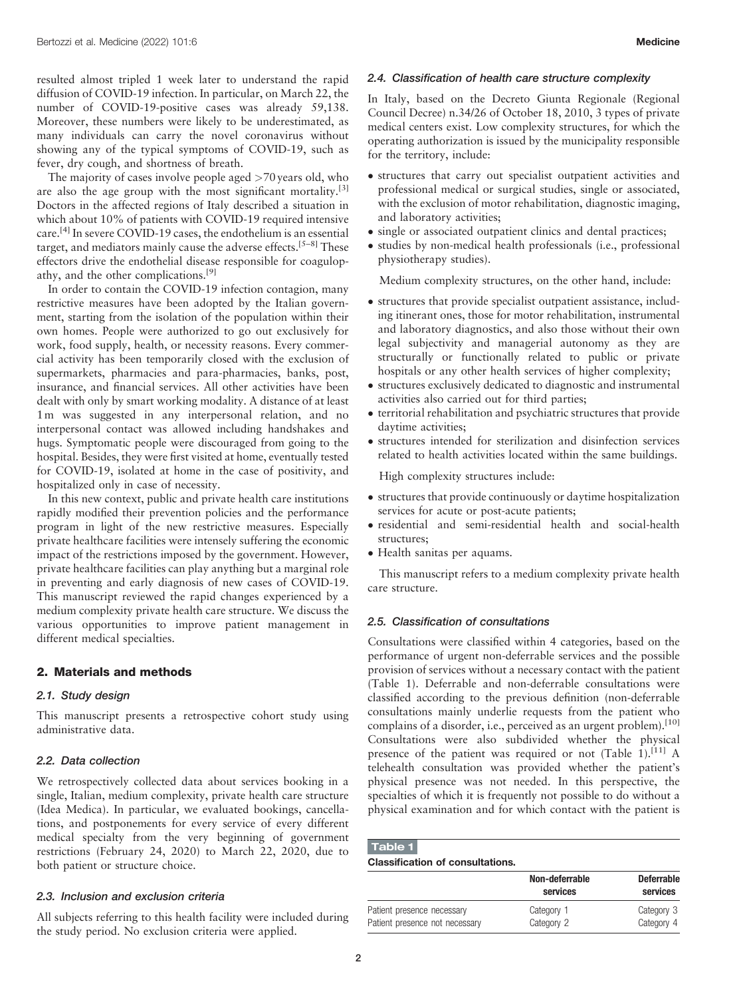resulted almost tripled 1 week later to understand the rapid diffusion of COVID-19 infection. In particular, on March 22, the number of COVID-19-positive cases was already 59,138. Moreover, these numbers were likely to be underestimated, as many individuals can carry the novel coronavirus without showing any of the typical symptoms of COVID-19, such as fever, dry cough, and shortness of breath.

The majority of cases involve people aged >70 years old, who are also the age group with the most significant mortality.<sup>[3]</sup> Doctors in the affected regions of Italy described a situation in which about 10% of patients with COVID-19 required intensive care.[4] In severe COVID-19 cases, the endothelium is an essential target, and mediators mainly cause the adverse effects.<sup>[5-8]</sup> These effectors drive the endothelial disease responsible for coagulopathy, and the other complications.<sup>[9]</sup>

In order to contain the COVID-19 infection contagion, many restrictive measures have been adopted by the Italian government, starting from the isolation of the population within their own homes. People were authorized to go out exclusively for work, food supply, health, or necessity reasons. Every commercial activity has been temporarily closed with the exclusion of supermarkets, pharmacies and para-pharmacies, banks, post, insurance, and financial services. All other activities have been dealt with only by smart working modality. A distance of at least 1m was suggested in any interpersonal relation, and no interpersonal contact was allowed including handshakes and hugs. Symptomatic people were discouraged from going to the hospital. Besides, they were first visited at home, eventually tested for COVID-19, isolated at home in the case of positivity, and hospitalized only in case of necessity.

In this new context, public and private health care institutions rapidly modified their prevention policies and the performance program in light of the new restrictive measures. Especially private healthcare facilities were intensely suffering the economic impact of the restrictions imposed by the government. However, private healthcare facilities can play anything but a marginal role in preventing and early diagnosis of new cases of COVID-19. This manuscript reviewed the rapid changes experienced by a medium complexity private health care structure. We discuss the various opportunities to improve patient management in different medical specialties.

# 2. Materials and methods

# 2.1. Study design

This manuscript presents a retrospective cohort study using administrative data.

# 2.2. Data collection

We retrospectively collected data about services booking in a single, Italian, medium complexity, private health care structure (Idea Medica). In particular, we evaluated bookings, cancellations, and postponements for every service of every different medical specialty from the very beginning of government restrictions (February 24, 2020) to March 22, 2020, due to both patient or structure choice.

# 2.3. Inclusion and exclusion criteria

All subjects referring to this health facility were included during the study period. No exclusion criteria were applied.

### 2.4. Classification of health care structure complexity

In Italy, based on the Decreto Giunta Regionale (Regional Council Decree) n.34/26 of October 18, 2010, 3 types of private medical centers exist. Low complexity structures, for which the operating authorization is issued by the municipality responsible for the territory, include:

- structures that carry out specialist outpatient activities and professional medical or surgical studies, single or associated, with the exclusion of motor rehabilitation, diagnostic imaging, and laboratory activities;
- single or associated outpatient clinics and dental practices;
- studies by non-medical health professionals (i.e., professional physiotherapy studies).

Medium complexity structures, on the other hand, include:

- structures that provide specialist outpatient assistance, including itinerant ones, those for motor rehabilitation, instrumental and laboratory diagnostics, and also those without their own legal subjectivity and managerial autonomy as they are structurally or functionally related to public or private hospitals or any other health services of higher complexity;
- structures exclusively dedicated to diagnostic and instrumental activities also carried out for third parties;
- $\bullet$  territorial rehabilitation and psychiatric structures that provide daytime activities;
- structures intended for sterilization and disinfection services related to health activities located within the same buildings.

High complexity structures include:

- structures that provide continuously or daytime hospitalization services for acute or post-acute patients;
- residential and semi-residential health and social-health structures;
- Health sanitas per aquams.

This manuscript refers to a medium complexity private health care structure.

### 2.5. Classification of consultations

Consultations were classified within 4 categories, based on the performance of urgent non-deferrable services and the possible provision of services without a necessary contact with the patient (Table 1). Deferrable and non-deferrable consultations were classified according to the previous definition (non-deferrable consultations mainly underlie requests from the patient who complains of a disorder, i.e., perceived as an urgent problem).<sup>[10]</sup> Consultations were also subdivided whether the physical presence of the patient was required or not (Table 1).<sup>[11]</sup> A telehealth consultation was provided whether the patient's physical presence was not needed. In this perspective, the specialties of which it is frequently not possible to do without a physical examination and for which contact with the patient is

| Table 1                                 |  |  |
|-----------------------------------------|--|--|
| <b>Classification of consultations.</b> |  |  |

|                                | Non-deferrable<br>services | <b>Deferrable</b><br>services |
|--------------------------------|----------------------------|-------------------------------|
| Patient presence necessary     | Category 1                 | Category 3                    |
| Patient presence not necessary | Category 2                 | Category 4                    |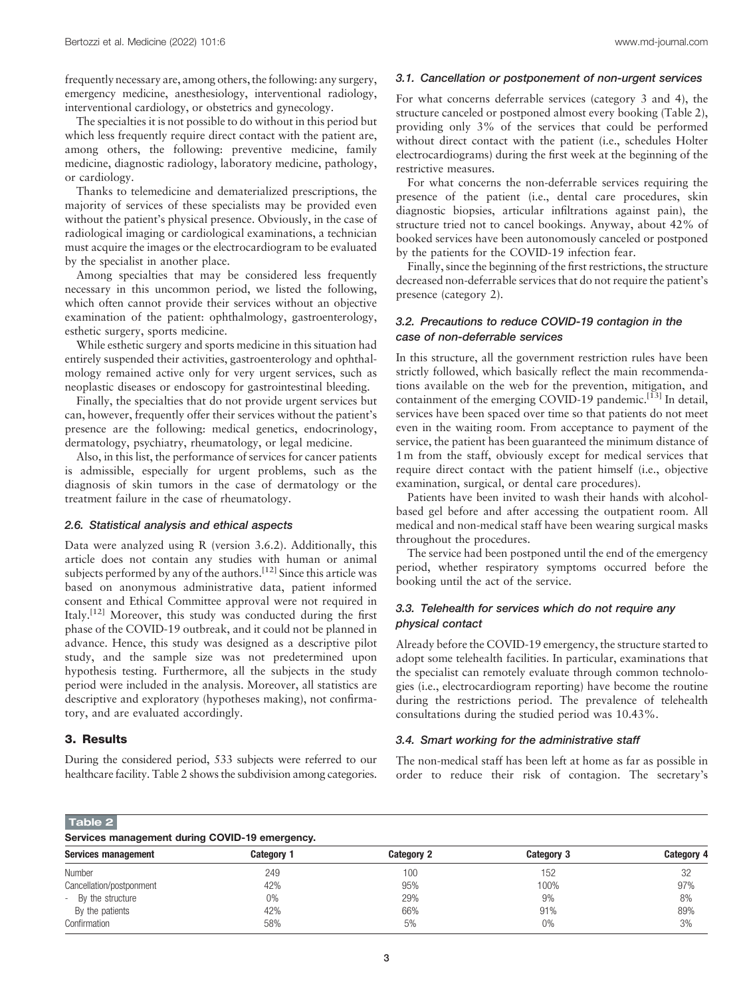frequently necessary are, among others, the following: any surgery, emergency medicine, anesthesiology, interventional radiology, interventional cardiology, or obstetrics and gynecology.

The specialties it is not possible to do without in this period but which less frequently require direct contact with the patient are, among others, the following: preventive medicine, family medicine, diagnostic radiology, laboratory medicine, pathology, or cardiology.

Thanks to telemedicine and dematerialized prescriptions, the majority of services of these specialists may be provided even without the patient's physical presence. Obviously, in the case of radiological imaging or cardiological examinations, a technician must acquire the images or the electrocardiogram to be evaluated by the specialist in another place.

Among specialties that may be considered less frequently necessary in this uncommon period, we listed the following, which often cannot provide their services without an objective examination of the patient: ophthalmology, gastroenterology, esthetic surgery, sports medicine.

While esthetic surgery and sports medicine in this situation had entirely suspended their activities, gastroenterology and ophthalmology remained active only for very urgent services, such as neoplastic diseases or endoscopy for gastrointestinal bleeding.

Finally, the specialties that do not provide urgent services but can, however, frequently offer their services without the patient's presence are the following: medical genetics, endocrinology, dermatology, psychiatry, rheumatology, or legal medicine.

Also, in this list, the performance of services for cancer patients is admissible, especially for urgent problems, such as the diagnosis of skin tumors in the case of dermatology or the treatment failure in the case of rheumatology.

### 2.6. Statistical analysis and ethical aspects

Data were analyzed using R (version 3.6.2). Additionally, this article does not contain any studies with human or animal subjects performed by any of the authors.<sup>[12]</sup> Since this article was based on anonymous administrative data, patient informed consent and Ethical Committee approval were not required in Italy.<sup>[12]</sup> Moreover, this study was conducted during the first phase of the COVID-19 outbreak, and it could not be planned in advance. Hence, this study was designed as a descriptive pilot study, and the sample size was not predetermined upon hypothesis testing. Furthermore, all the subjects in the study period were included in the analysis. Moreover, all statistics are descriptive and exploratory (hypotheses making), not confirmatory, and are evaluated accordingly.

# 3. Results

During the considered period, 533 subjects were referred to our healthcare facility. Table 2 shows the subdivision among categories.

### 3.1. Cancellation or postponement of non-urgent services

For what concerns deferrable services (category 3 and 4), the structure canceled or postponed almost every booking (Table 2), providing only 3% of the services that could be performed without direct contact with the patient (i.e., schedules Holter electrocardiograms) during the first week at the beginning of the restrictive measures.

For what concerns the non-deferrable services requiring the presence of the patient (i.e., dental care procedures, skin diagnostic biopsies, articular infiltrations against pain), the structure tried not to cancel bookings. Anyway, about 42% of booked services have been autonomously canceled or postponed by the patients for the COVID-19 infection fear.

Finally, since the beginning of the first restrictions, the structure decreased non-deferrable services that do not require the patient's presence (category 2).

# 3.2. Precautions to reduce COVID-19 contagion in the case of non-deferrable services

In this structure, all the government restriction rules have been strictly followed, which basically reflect the main recommendations available on the web for the prevention, mitigation, and containment of the emerging COVID-19 pandemic.<sup>[13]</sup> In detail, services have been spaced over time so that patients do not meet even in the waiting room. From acceptance to payment of the service, the patient has been guaranteed the minimum distance of 1m from the staff, obviously except for medical services that require direct contact with the patient himself (i.e., objective examination, surgical, or dental care procedures).

Patients have been invited to wash their hands with alcoholbased gel before and after accessing the outpatient room. All medical and non-medical staff have been wearing surgical masks throughout the procedures.

The service had been postponed until the end of the emergency period, whether respiratory symptoms occurred before the booking until the act of the service.

# 3.3. Telehealth for services which do not require any physical contact

Already before the COVID-19 emergency, the structure started to adopt some telehealth facilities. In particular, examinations that the specialist can remotely evaluate through common technologies (i.e., electrocardiogram reporting) have become the routine during the restrictions period. The prevalence of telehealth consultations during the studied period was 10.43%.

# 3.4. Smart working for the administrative staff

The non-medical staff has been left at home as far as possible in order to reduce their risk of contagion. The secretary's

Table 2

| Services management during COVID-19 emergency. |                   |                   |            |            |  |  |
|------------------------------------------------|-------------------|-------------------|------------|------------|--|--|
| Services management                            | <b>Category 1</b> | <b>Category 2</b> | Category 3 | Category 4 |  |  |
| Number                                         | 249               | 100               | 152        | 32         |  |  |
| Cancellation/postponment                       | 42%               | 95%               | 100%       | 97%        |  |  |
| By the structure<br>$\sim$                     | $0\%$             | 29%               | 9%         | 8%         |  |  |
| By the patients                                | 42%               | 66%               | 91%        | 89%        |  |  |
| Confirmation                                   | 58%               | 5%                | $0\%$      | 3%         |  |  |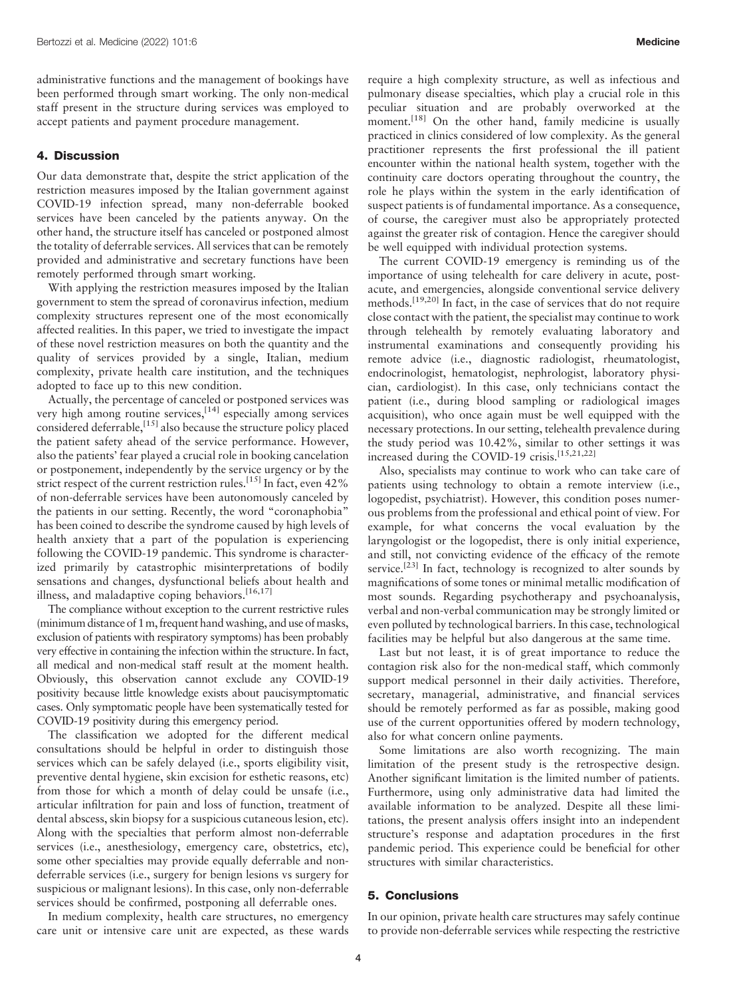administrative functions and the management of bookings have been performed through smart working. The only non-medical staff present in the structure during services was employed to accept patients and payment procedure management.

# 4. Discussion

Our data demonstrate that, despite the strict application of the restriction measures imposed by the Italian government against COVID-19 infection spread, many non-deferrable booked services have been canceled by the patients anyway. On the other hand, the structure itself has canceled or postponed almost the totality of deferrable services. All services that can be remotely provided and administrative and secretary functions have been remotely performed through smart working.

With applying the restriction measures imposed by the Italian government to stem the spread of coronavirus infection, medium complexity structures represent one of the most economically affected realities. In this paper, we tried to investigate the impact of these novel restriction measures on both the quantity and the quality of services provided by a single, Italian, medium complexity, private health care institution, and the techniques adopted to face up to this new condition.

Actually, the percentage of canceled or postponed services was very high among routine services, $[14]$  especially among services considered deferrable,  $^{[15]}$  also because the structure policy placed the patient safety ahead of the service performance. However, also the patients' fear played a crucial role in booking cancelation or postponement, independently by the service urgency or by the strict respect of the current restriction rules.<sup>[15]</sup> In fact, even 42% of non-deferrable services have been autonomously canceled by the patients in our setting. Recently, the word "coronaphobia" has been coined to describe the syndrome caused by high levels of health anxiety that a part of the population is experiencing following the COVID-19 pandemic. This syndrome is characterized primarily by catastrophic misinterpretations of bodily sensations and changes, dysfunctional beliefs about health and illness, and maladaptive coping behaviors.<sup>[16,17]</sup>

The compliance without exception to the current restrictive rules (minimum distance of 1m, frequent hand washing, and use of masks, exclusion of patients with respiratory symptoms) has been probably very effective in containing the infection within the structure. In fact, all medical and non-medical staff result at the moment health. Obviously, this observation cannot exclude any COVID-19 positivity because little knowledge exists about paucisymptomatic cases. Only symptomatic people have been systematically tested for COVID-19 positivity during this emergency period.

The classification we adopted for the different medical consultations should be helpful in order to distinguish those services which can be safely delayed (i.e., sports eligibility visit, preventive dental hygiene, skin excision for esthetic reasons, etc) from those for which a month of delay could be unsafe (i.e., articular infiltration for pain and loss of function, treatment of dental abscess, skin biopsy for a suspicious cutaneous lesion, etc). Along with the specialties that perform almost non-deferrable services (i.e., anesthesiology, emergency care, obstetrics, etc), some other specialties may provide equally deferrable and nondeferrable services (i.e., surgery for benign lesions vs surgery for suspicious or malignant lesions). In this case, only non-deferrable services should be confirmed, postponing all deferrable ones.

In medium complexity, health care structures, no emergency care unit or intensive care unit are expected, as these wards require a high complexity structure, as well as infectious and pulmonary disease specialties, which play a crucial role in this peculiar situation and are probably overworked at the moment.<sup>[18]</sup> On the other hand, family medicine is usually practiced in clinics considered of low complexity. As the general practitioner represents the first professional the ill patient encounter within the national health system, together with the continuity care doctors operating throughout the country, the role he plays within the system in the early identification of suspect patients is of fundamental importance. As a consequence, of course, the caregiver must also be appropriately protected against the greater risk of contagion. Hence the caregiver should be well equipped with individual protection systems.

The current COVID-19 emergency is reminding us of the importance of using telehealth for care delivery in acute, postacute, and emergencies, alongside conventional service delivery methods.<sup>[19,20]</sup> In fact, in the case of services that do not require close contact with the patient, the specialist may continue to work through telehealth by remotely evaluating laboratory and instrumental examinations and consequently providing his remote advice (i.e., diagnostic radiologist, rheumatologist, endocrinologist, hematologist, nephrologist, laboratory physician, cardiologist). In this case, only technicians contact the patient (i.e., during blood sampling or radiological images acquisition), who once again must be well equipped with the necessary protections. In our setting, telehealth prevalence during the study period was 10.42%, similar to other settings it was increased during the COVID-19 crisis.<sup>[15,21,22]</sup>

Also, specialists may continue to work who can take care of patients using technology to obtain a remote interview (i.e., logopedist, psychiatrist). However, this condition poses numerous problems from the professional and ethical point of view. For example, for what concerns the vocal evaluation by the laryngologist or the logopedist, there is only initial experience, and still, not convicting evidence of the efficacy of the remote service.<sup>[23]</sup> In fact, technology is recognized to alter sounds by magnifications of some tones or minimal metallic modification of most sounds. Regarding psychotherapy and psychoanalysis, verbal and non-verbal communication may be strongly limited or even polluted by technological barriers. In this case, technological facilities may be helpful but also dangerous at the same time.

Last but not least, it is of great importance to reduce the contagion risk also for the non-medical staff, which commonly support medical personnel in their daily activities. Therefore, secretary, managerial, administrative, and financial services should be remotely performed as far as possible, making good use of the current opportunities offered by modern technology, also for what concern online payments.

Some limitations are also worth recognizing. The main limitation of the present study is the retrospective design. Another significant limitation is the limited number of patients. Furthermore, using only administrative data had limited the available information to be analyzed. Despite all these limitations, the present analysis offers insight into an independent structure's response and adaptation procedures in the first pandemic period. This experience could be beneficial for other structures with similar characteristics.

# 5. Conclusions

In our opinion, private health care structures may safely continue to provide non-deferrable services while respecting the restrictive